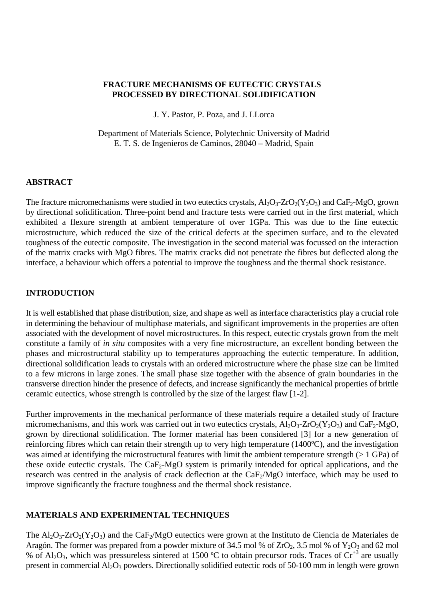### **FRACTURE MECHANISMS OF EUTECTIC CRYSTALS PROCESSED BY DIRECTIONAL SOLIDIFICATION**

J. Y. Pastor, P. Poza, and J. LLorca

Department of Materials Science, Polytechnic University of Madrid E. T. S. de Ingenieros de Caminos, 28040 – Madrid, Spain

### **ABSTRACT**

The fracture micromechanisms were studied in two eutectics crystals,  $Al_2O_3$ - $ZrO_2(Y_2O_3)$  and  $CaF_2-MgO$ , grown by directional solidification. Three-point bend and fracture tests were carried out in the first material, which exhibited a flexure strength at ambient temperature of over 1GPa. This was due to the fine eutectic microstructure, which reduced the size of the critical defects at the specimen surface, and to the elevated toughness of the eutectic composite. The investigation in the second material was focussed on the interaction of the matrix cracks with MgO fibres. The matrix cracks did not penetrate the fibres but deflected along the interface, a behaviour which offers a potential to improve the toughness and the thermal shock resistance.

### **INTRODUCTION**

It is well established that phase distribution, size, and shape as well as interface characteristics play a crucial role in determining the behaviour of multiphase materials, and significant improvements in the properties are often associated with the development of novel microstructures. In this respect, eutectic crystals grown from the melt constitute a family of *in situ* composites with a very fine microstructure, an excellent bonding between the phases and microstructural stability up to temperatures approaching the eutectic temperature. In addition, directional solidification leads to crystals with an ordered microstructure where the phase size can be limited to a few microns in large zones. The small phase size together with the absence of grain boundaries in the transverse direction hinder the presence of defects, and increase significantly the mechanical properties of brittle ceramic eutectics, whose strength is controlled by the size of the largest flaw [1-2].

Further improvements in the mechanical performance of these materials require a detailed study of fracture micromechanisms, and this work was carried out in two eutectics crystals,  $Al_2O_3$ - $ZrO_2(Y_2O_3)$  and  $CaF_2-MgO$ , grown by directional solidification. The former material has been considered [3] for a new generation of reinforcing fibres which can retain their strength up to very high temperature (1400ºC), and the investigation was aimed at identifying the microstructural features with limit the ambient temperature strength (> 1 GPa) of these oxide eutectic crystals. The  $CaF<sub>2</sub>-MgO$  system is primarily intended for optical applications, and the research was centred in the analysis of crack deflection at the CaF<sub>2</sub>/MgO interface, which may be used to improve significantly the fracture toughness and the thermal shock resistance.

### **MATERIALS AND EXPERIMENTAL TECHNIQUES**

The  $Al_2O_3$ -ZrO<sub>2</sub>(Y<sub>2</sub>O<sub>3</sub>) and the CaF<sub>2</sub>/MgO eutectics were grown at the Instituto de Ciencia de Materiales de Aragón. The former was prepared from a powder mixture of 34.5 mol % of  $ZrO_2$ , 3.5 mol % of  $Y_2O_3$  and 62 mol % of  $Al_2O_3$ , which was pressureless sintered at 1500 °C to obtain precursor rods. Traces of  $Cr^{+3}$  are usually present in commercial  $Al_2O_3$  powders. Directionally solidified eutectic rods of 50-100 mm in length were grown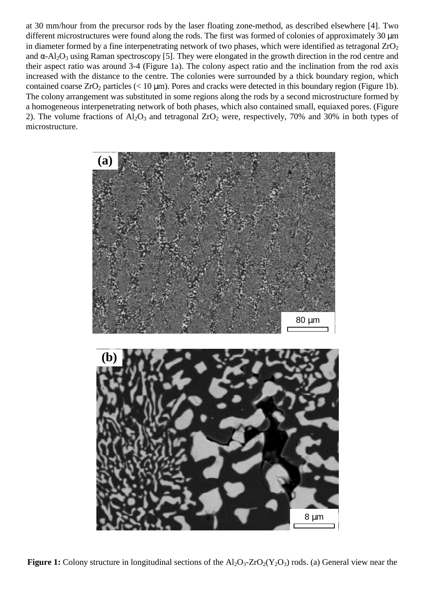at 30 mm/hour from the precursor rods by the laser floating zone-method, as described elsewhere [4]. Two different microstructures were found along the rods. The first was formed of colonies of approximately 30  $\mu$ m in diameter formed by a fine interpenetrating network of two phases, which were identified as tetragonal  $ZrO<sub>2</sub>$ and  $\alpha$ -Al<sub>2</sub>O<sub>3</sub> using Raman spectroscopy [5]. They were elongated in the growth direction in the rod centre and their aspect ratio was around 3-4 (Figure 1a). The colony aspect ratio and the inclination from the rod axis increased with the distance to the centre. The colonies were surrounded by a thick boundary region, which contained coarse  $ZrO_2$  particles (< 10 µm). Pores and cracks were detected in this boundary region (Figure 1b). The colony arrangement was substituted in some regions along the rods by a second microstructure formed by a homogeneous interpenetrating network of both phases, which also contained small, equiaxed pores. (Figure 2). The volume fractions of  $Al_2O_3$  and tetragonal  $ZrO_2$  were, respectively, 70% and 30% in both types of microstructure.



**Figure 1:** Colony structure in longitudinal sections of the  $Al_2O_3$ -ZrO<sub>2</sub>(Y<sub>2</sub>O<sub>3</sub>) rods. (a) General view near the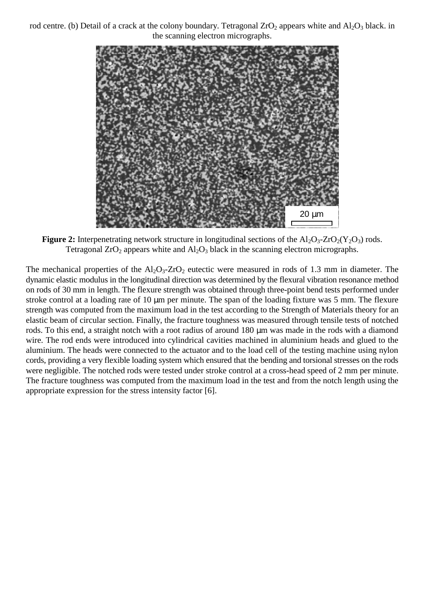rod centre. (b) Detail of a crack at the colony boundary. Tetragonal  $ZrO<sub>2</sub>$  appears white and  $Al<sub>2</sub>O<sub>3</sub>$  black. in the scanning electron micrographs.



**Figure 2:** Interpenetrating network structure in longitudinal sections of the  $A1_2O_3$ - $ZrO_2(Y_2O_3)$  rods. Tetragonal  $ZrO_2$  appears white and  $Al_2O_3$  black in the scanning electron micrographs.

The mechanical properties of the  $Al_2O_3$ -ZrO<sub>2</sub> eutectic were measured in rods of 1.3 mm in diameter. The dynamic elastic modulus in the longitudinal direction was determined by the flexural vibration resonance method on rods of 30 mm in length. The flexure strength was obtained through three-point bend tests performed under stroke control at a loading rate of 10 µm per minute. The span of the loading fixture was 5 mm. The flexure strength was computed from the maximum load in the test according to the Strength of Materials theory for an elastic beam of circular section. Finally, the fracture toughness was measured through tensile tests of notched rods. To this end, a straight notch with a root radius of around 180  $\mu$ m was made in the rods with a diamond wire. The rod ends were introduced into cylindrical cavities machined in aluminium heads and glued to the aluminium. The heads were connected to the actuator and to the load cell of the testing machine using nylon cords, providing a very flexible loading system which ensured that the bending and torsional stresses on the rods were negligible. The notched rods were tested under stroke control at a cross-head speed of 2 mm per minute. The fracture toughness was computed from the maximum load in the test and from the notch length using the appropriate expression for the stress intensity factor [6].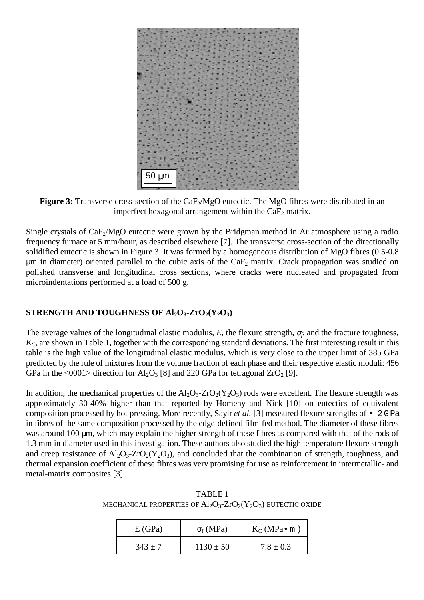

**Figure 3:** Transverse cross-section of the CaF<sub>2</sub>/MgO eutectic. The MgO fibres were distributed in an imperfect hexagonal arrangement within the  $CaF<sub>2</sub>$  matrix.

Single crystals of  $CaF<sub>2</sub>/MgO$  eutectic were grown by the Bridgman method in Ar atmosphere using a radio frequency furnace at 5 mm/hour, as described elsewhere [7]. The transverse cross-section of the directionally solidified eutectic is shown in Figure 3. It was formed by a homogeneous distribution of MgO fibres (0.5-0.8  $\mu$ m in diameter) oriented parallel to the cubic axis of the CaF<sub>2</sub> matrix. Crack propagation was studied on polished transverse and longitudinal cross sections, where cracks were nucleated and propagated from microindentations performed at a load of 500 g.

# **STRENGTH AND TOUGHNESS OF Al<sub>2</sub>O<sub>3</sub>-ZrO<sub>2</sub>(Y<sub>2</sub>O<sub>3</sub>)**

The average values of the longitudinal elastic modulus, *E*, the flexure strength, <sup>σ</sup>*f*, and the fracture toughness, *KC*, are shown in Table 1, together with the corresponding standard deviations. The first interesting result in this table is the high value of the longitudinal elastic modulus, which is very close to the upper limit of 385 GPa predicted by the rule of mixtures from the volume fraction of each phase and their respective elastic moduli: 456 GPa in the <0001> direction for  $Al_2O_3$  [8] and 220 GPa for tetragonal ZrO<sub>2</sub> [9].

In addition, the mechanical properties of the  $A_1O_3$ - $ZrO_2(Y_2O_3)$  rods were excellent. The flexure strength was approximately 30-40% higher than that reported by Homeny and Nick [10] on eutectics of equivalent composition processed by hot pressing. More recently, Sayir *et al.* [3] measured flexure strengths of • 2 G Pa in fibres of the same composition processed by the edge-defined film-fed method. The diameter of these fibres was around 100  $\mu$ m, which may explain the higher strength of these fibres as compared with that of the rods of 1.3 mm in diameter used in this investigation. These authors also studied the high temperature flexure strength and creep resistance of  $A_2O_3$ - $ZrO_2(Y_2O_3)$ , and concluded that the combination of strength, toughness, and thermal expansion coefficient of these fibres was very promising for use as reinforcement in intermetallic- and metal-matrix composites [3].

TABLE 1 MECHANICAL PROPERTIES OF  $Al_2O_3$ - $ZrO_2(Y_2O_3)$  EUTECTIC OXIDE

| E(GPa)    | $\sigma_f(MPa)$ | $K_C(MPa \bullet m)$ |
|-----------|-----------------|----------------------|
| $343 + 7$ | $1130 \pm 50$   | $7.8 \pm 0.3$        |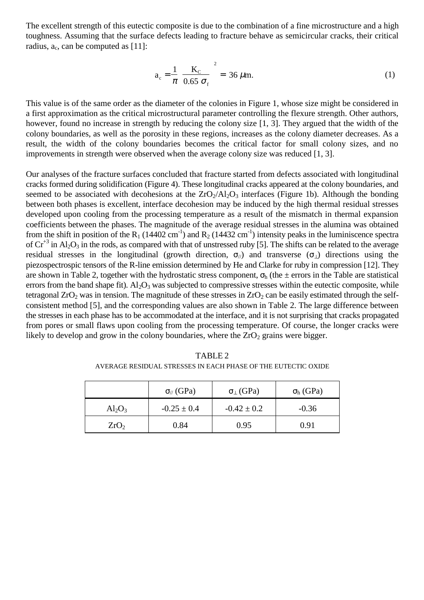The excellent strength of this eutectic composite is due to the combination of a fine microstructure and a high toughness. Assuming that the surface defects leading to fracture behave as semicircular cracks, their critical radius,  $a_c$ , can be computed as [11]:

$$
a_c = \frac{1}{\pi} \left[ \frac{K_c}{0.65 \sigma_f} \right]^2 = 36 \,\mu \text{m}.
$$
 (1)

This value is of the same order as the diameter of the colonies in Figure 1, whose size might be considered in a first approximation as the critical microstructural parameter controlling the flexure strength. Other authors, however, found no increase in strength by reducing the colony size [1, 3]. They argued that the width of the colony boundaries, as well as the porosity in these regions, increases as the colony diameter decreases. As a result, the width of the colony boundaries becomes the critical factor for small colony sizes, and no improvements in strength were observed when the average colony size was reduced [1, 3].

Our analyses of the fracture surfaces concluded that fracture started from defects associated with longitudinal cracks formed during solidification (Figure 4). These longitudinal cracks appeared at the colony boundaries, and seemed to be associated with decohesions at the  $ZrO_2/Al_2O_3$  interfaces (Figure 1b). Although the bonding between both phases is excellent, interface decohesion may be induced by the high thermal residual stresses developed upon cooling from the processing temperature as a result of the mismatch in thermal expansion coefficients between the phases. The magnitude of the average residual stresses in the alumina was obtained from the shift in position of the R<sub>1</sub> (14402 cm<sup>-1</sup>) and R<sub>2</sub> (14432 cm<sup>-1</sup>) intensity peaks in the luminiscence spectra of  $Cr^{+3}$  in Al<sub>2</sub>O<sub>3</sub> in the rods, as compared with that of unstressed ruby [5]. The shifts can be related to the average residual stresses in the longitudinal (growth direction,  $\sigma_{\ell}$ ) and transverse ( $\sigma_{\ell}$ ) directions using the piezospectrospic tensors of the R-line emission determined by He and Clarke for ruby in compression [12]. They are shown in Table 2, together with the hydrostatic stress component,  $\sigma_h$  (the  $\pm$  errors in the Table are statistical errors from the band shape fit).  $Al_2O_3$  was subjected to compressive stresses within the eutectic composite, while tetragonal  $ZrO<sub>2</sub>$  was in tension. The magnitude of these stresses in  $ZrO<sub>2</sub>$  can be easily estimated through the selfconsistent method [5], and the corresponding values are also shown in Table 2. The large difference between the stresses in each phase has to be accommodated at the interface, and it is not surprising that cracks propagated from pores or small flaws upon cooling from the processing temperature. Of course, the longer cracks were likely to develop and grow in the colony boundaries, where the  $ZrO<sub>2</sub>$  grains were bigger.

|                  | $\sigma$ <sub>//</sub> (GPa) | $\sigma_{\perp}$ (GPa) | $\sigma_{h}$ (GPa) |
|------------------|------------------------------|------------------------|--------------------|
| $Al_2O_3$        | $-0.25 \pm 0.4$              | $-0.42 \pm 0.2$        | $-0.36$            |
| ZrO <sub>2</sub> | 0.84                         | 0.95                   | 0.91               |

TABLE 2 AVERAGE RESIDUAL STRESSES IN EACH PHASE OF THE EUTECTIC OXIDE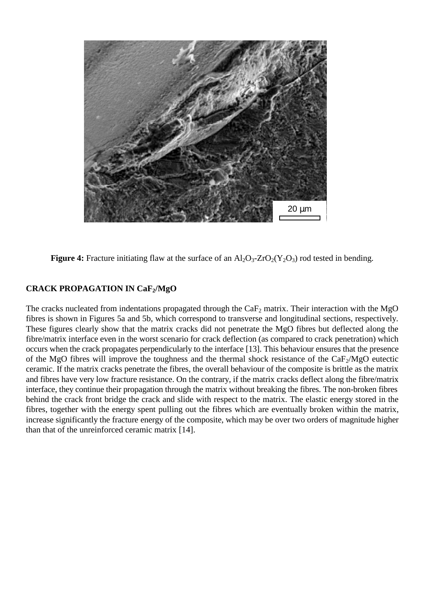

**Figure 4:** Fracture initiating flaw at the surface of an  $\text{Al}_2\text{O}_3$ -ZrO<sub>2</sub>(Y<sub>2</sub>O<sub>3</sub>) rod tested in bending.

# **CRACK PROPAGATION IN CaF2/MgO**

The cracks nucleated from indentations propagated through the  $CaF<sub>2</sub>$  matrix. Their interaction with the MgO fibres is shown in Figures 5a and 5b, which correspond to transverse and longitudinal sections, respectively. These figures clearly show that the matrix cracks did not penetrate the MgO fibres but deflected along the fibre/matrix interface even in the worst scenario for crack deflection (as compared to crack penetration) which occurs when the crack propagates perpendicularly to the interface [13]. This behaviour ensures that the presence of the MgO fibres will improve the toughness and the thermal shock resistance of the  $CaF<sub>2</sub>/MgO$  eutectic ceramic. If the matrix cracks penetrate the fibres, the overall behaviour of the composite is brittle as the matrix and fibres have very low fracture resistance. On the contrary, if the matrix cracks deflect along the fibre/matrix interface, they continue their propagation through the matrix without breaking the fibres. The non-broken fibres behind the crack front bridge the crack and slide with respect to the matrix. The elastic energy stored in the fibres, together with the energy spent pulling out the fibres which are eventually broken within the matrix, increase significantly the fracture energy of the composite, which may be over two orders of magnitude higher than that of the unreinforced ceramic matrix [14].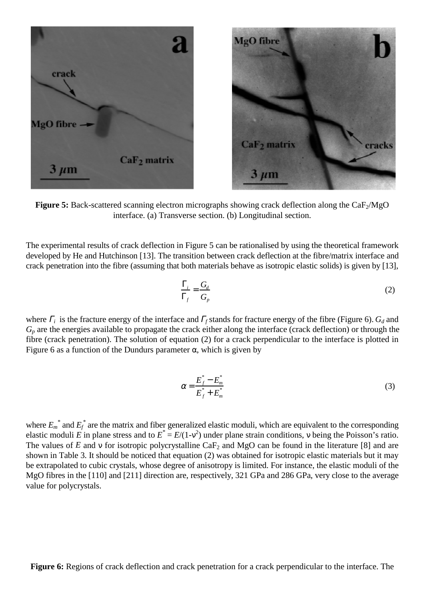

**Figure 5:** Back-scattered scanning electron micrographs showing crack deflection along the CaF<sub>2</sub>/MgO interface. (a) Transverse section. (b) Longitudinal section.

The experimental results of crack deflection in Figure 5 can be rationalised by using the theoretical framework developed by He and Hutchinson [13]. The transition between crack deflection at the fibre/matrix interface and crack penetration into the fibre (assuming that both materials behave as isotropic elastic solids) is given by [13],

$$
\frac{\Gamma_i}{\Gamma_f} = \frac{G_d}{G_p} \tag{2}
$$

where  $\Gamma$ <sup>*i*</sup> is the fracture energy of the interface and  $\Gamma$ <sup>*f*</sup> stands for fracture energy of the fibre (Figure 6).  $G$ <sup>*d*</sup> and *Gp* are the energies available to propagate the crack either along the interface (crack deflection) or through the fibre (crack penetration). The solution of equation (2) for a crack perpendicular to the interface is plotted in Figure 6 as a function of the Dundurs parameter  $\alpha$ , which is given by

$$
\alpha = \frac{E_f^* - E_m^*}{E_f^* + E_m^*}
$$
\n(3)

where  $E_m^*$  and  $E_f^*$  are the matrix and fiber generalized elastic moduli, which are equivalent to the corresponding elastic moduli *E* in plane stress and to  $E^* = E/(1-v^2)$  under plane strain conditions, v being the Poisson's ratio. The values of *E* and v for isotropic polycrystalline CaF<sub>2</sub> and MgO can be found in the literature [8] and are shown in Table 3. It should be noticed that equation (2) was obtained for isotropic elastic materials but it may be extrapolated to cubic crystals, whose degree of anisotropy is limited. For instance, the elastic moduli of the MgO fibres in the [110] and [211] direction are, respectively, 321 GPa and 286 GPa, very close to the average value for polycrystals.

**Figure 6:** Regions of crack deflection and crack penetration for a crack perpendicular to the interface. The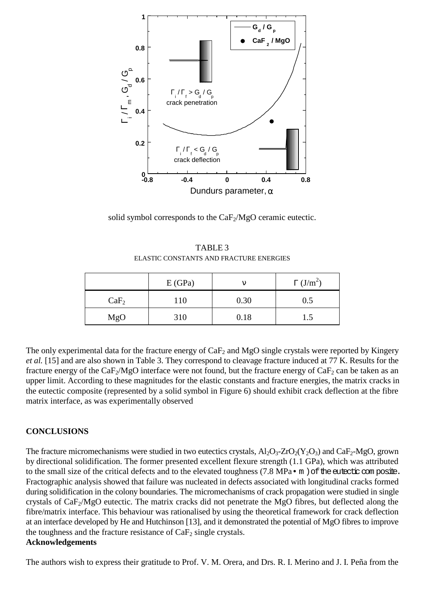

solid symbol corresponds to the  $CaF_2/MgO$  ceramic eutectic.

TABLE 3 ELASTIC CONSTANTS AND FRACTURE ENERGIES

|                  | E(GPa) |      | $\Gamma$ (J/m <sup>2</sup> ) |
|------------------|--------|------|------------------------------|
| CaF <sub>2</sub> | 110    | 0.30 | 0.5                          |
| MgO              | 310    | 0.18 | 1.5                          |

The only experimental data for the fracture energy of  $CaF<sub>2</sub>$  and MgO single crystals were reported by Kingery *et al.* [15] and are also shown in Table 3. They correspond to cleavage fracture induced at 77 K. Results for the fracture energy of the CaF<sub>2</sub>/MgO interface were not found, but the fracture energy of CaF<sub>2</sub> can be taken as an upper limit. According to these magnitudes for the elastic constants and fracture energies, the matrix cracks in the eutectic composite (represented by a solid symbol in Figure 6) should exhibit crack deflection at the fibre matrix interface, as was experimentally observed

# **CONCLUSIONS**

The fracture micromechanisms were studied in two eutectics crystals,  $Al_2O_3$ - $ZrO_2(Y_2O_3)$  and CaF<sub>2</sub>-MgO, grown by directional solidification. The former presented excellent flexure strength (1.1 GPa), which was attributed to the small size of the critical defects and to the elevated toughness (7.8 MPa $\cdot$  m) of the eutectic composite. Fractographic analysis showed that failure was nucleated in defects associated with longitudinal cracks formed during solidification in the colony boundaries. The micromechanisms of crack propagation were studied in single crystals of CaF2/MgO eutectic. The matrix cracks did not penetrate the MgO fibres, but deflected along the fibre/matrix interface. This behaviour was rationalised by using the theoretical framework for crack deflection at an interface developed by He and Hutchinson [13], and it demonstrated the potential of MgO fibres to improve the toughness and the fracture resistance of  $CaF<sub>2</sub>$  single crystals.

### **Acknowledgements**

The authors wish to express their gratitude to Prof. V. M. Orera, and Drs. R. I. Merino and J. I. Peña from the